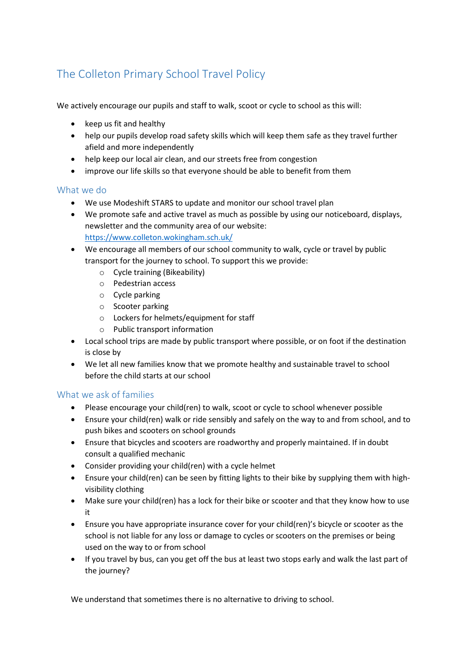## The Colleton Primary School Travel Policy

We actively encourage our pupils and staff to walk, scoot or cycle to school as this will:

- keep us fit and healthy
- help our pupils develop road safety skills which will keep them safe as they travel further afield and more independently
- help keep our local air clean, and our streets free from congestion
- improve our life skills so that everyone should be able to benefit from them

## What we do

- We use Modeshift STARS to update and monitor our school travel plan
- We promote safe and active travel as much as possible by using our noticeboard, displays, newsletter and the community area of our website: <https://www.colleton.wokingham.sch.uk/>
- We encourage all members of our school community to walk, cycle or travel by public transport for the journey to school. To support this we provide:
	- o Cycle training (Bikeability)
	- o Pedestrian access
	- o Cycle parking
	- o Scooter parking
	- o Lockers for helmets/equipment for staff
	- o Public transport information
- Local school trips are made by public transport where possible, or on foot if the destination is close by
- We let all new families know that we promote healthy and sustainable travel to school before the child starts at our school

## What we ask of families

- Please encourage your child(ren) to walk, scoot or cycle to school whenever possible
- Ensure your child(ren) walk or ride sensibly and safely on the way to and from school, and to push bikes and scooters on school grounds
- Ensure that bicycles and scooters are roadworthy and properly maintained. If in doubt consult a qualified mechanic
- Consider providing your child(ren) with a cycle helmet
- Ensure your child(ren) can be seen by fitting lights to their bike by supplying them with highvisibility clothing
- Make sure your child(ren) has a lock for their bike or scooter and that they know how to use it
- Ensure you have appropriate insurance cover for your child(ren)'s bicycle or scooter as the school is not liable for any loss or damage to cycles or scooters on the premises or being used on the way to or from school
- If you travel by bus, can you get off the bus at least two stops early and walk the last part of the journey?

We understand that sometimes there is no alternative to driving to school.